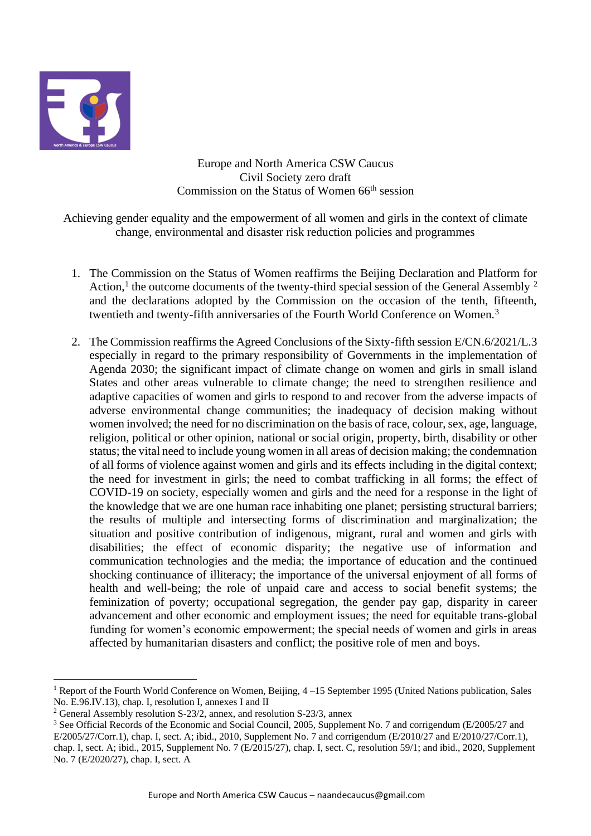

Europe and North America CSW Caucus Civil Society zero draft Commission on the Status of Women 66<sup>th</sup> session

Achieving gender equality and the empowerment of all women and girls in the context of climate change, environmental and disaster risk reduction policies and programmes

- 1. The Commission on the Status of Women reaffirms the Beijing Declaration and Platform for Action,<sup>1</sup> the outcome documents of the twenty-third special session of the General Assembly  $^2$ and the declarations adopted by the Commission on the occasion of the tenth, fifteenth, twentieth and twenty-fifth anniversaries of the Fourth World Conference on Women.<sup>3</sup>
- 2. The Commission reaffirms the Agreed Conclusions of the Sixty-fifth session E/CN.6/2021/L.3 especially in regard to the primary responsibility of Governments in the implementation of Agenda 2030; the significant impact of climate change on women and girls in small island States and other areas vulnerable to climate change; the need to strengthen resilience and adaptive capacities of women and girls to respond to and recover from the adverse impacts of adverse environmental change communities; the inadequacy of decision making without women involved; the need for no discrimination on the basis of race, colour, sex, age, language, religion, political or other opinion, national or social origin, property, birth, disability or other status; the vital need to include young women in all areas of decision making; the condemnation of all forms of violence against women and girls and its effects including in the digital context; the need for investment in girls; the need to combat trafficking in all forms; the effect of COVID-19 on society, especially women and girls and the need for a response in the light of the knowledge that we are one human race inhabiting one planet; persisting structural barriers; the results of multiple and intersecting forms of discrimination and marginalization; the situation and positive contribution of indigenous, migrant, rural and women and girls with disabilities; the effect of economic disparity; the negative use of information and communication technologies and the media; the importance of education and the continued shocking continuance of illiteracy; the importance of the universal enjoyment of all forms of health and well-being; the role of unpaid care and access to social benefit systems; the feminization of poverty; occupational segregation, the gender pay gap, disparity in career advancement and other economic and employment issues; the need for equitable trans-global funding for women's economic empowerment; the special needs of women and girls in areas affected by humanitarian disasters and conflict; the positive role of men and boys.

<sup>&</sup>lt;sup>1</sup> Report of the Fourth World Conference on Women, Beijing,  $4-15$  September 1995 (United Nations publication, Sales No. E.96.IV.13), chap. I, resolution I, annexes I and II

<sup>&</sup>lt;sup>2</sup> General Assembly resolution S-23/2, annex, and resolution S-23/3, annex

<sup>&</sup>lt;sup>3</sup> See Official Records of the Economic and Social Council, 2005, Supplement No. 7 and corrigendum (E/2005/27 and E/2005/27/Corr.1), chap. I, sect. A; ibid., 2010, Supplement No. 7 and corrigendum (E/2010/27 and E/2010/27/Corr.1), chap. I, sect. A; ibid., 2015, Supplement No. 7 (E/2015/27), chap. I, sect. C, resolution 59/1; and ibid., 2020, Supplement

No. 7 (E/2020/27), chap. I, sect. A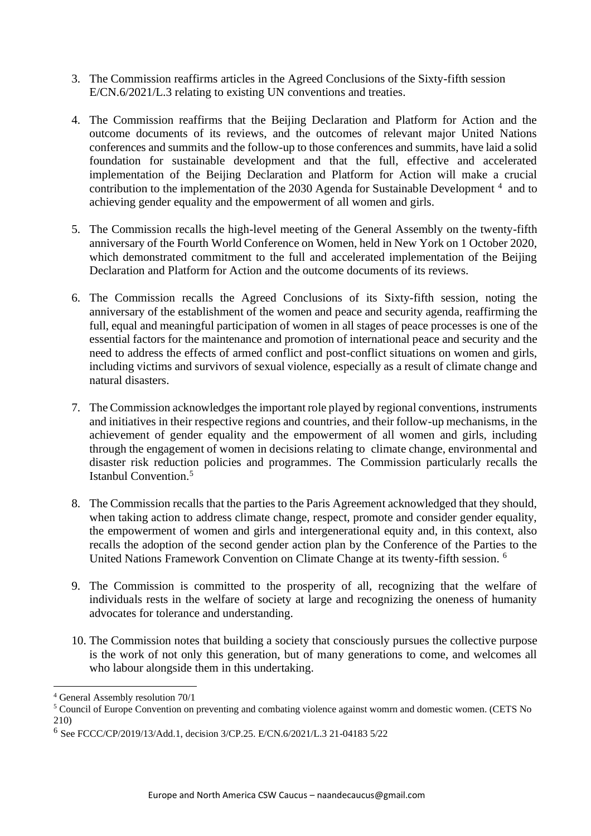- 3. The Commission reaffirms articles in the Agreed Conclusions of the Sixty-fifth session E/CN.6/2021/L.3 relating to existing UN conventions and treaties.
- 4. The Commission reaffirms that the Beijing Declaration and Platform for Action and the outcome documents of its reviews, and the outcomes of relevant major United Nations conferences and summits and the follow-up to those conferences and summits, have laid a solid foundation for sustainable development and that the full, effective and accelerated implementation of the Beijing Declaration and Platform for Action will make a crucial contribution to the implementation of the 2030 Agenda for Sustainable Development<sup>4</sup> and to achieving gender equality and the empowerment of all women and girls.
- 5. The Commission recalls the high-level meeting of the General Assembly on the twenty-fifth anniversary of the Fourth World Conference on Women, held in New York on 1 October 2020, which demonstrated commitment to the full and accelerated implementation of the Beijing Declaration and Platform for Action and the outcome documents of its reviews.
- 6. The Commission recalls the Agreed Conclusions of its Sixty-fifth session, noting the anniversary of the establishment of the women and peace and security agenda, reaffirming the full, equal and meaningful participation of women in all stages of peace processes is one of the essential factors for the maintenance and promotion of international peace and security and the need to address the effects of armed conflict and post-conflict situations on women and girls, including victims and survivors of sexual violence, especially as a result of climate change and natural disasters.
- 7. The Commission acknowledges the important role played by regional conventions, instruments and initiatives in their respective regions and countries, and their follow-up mechanisms, in the achievement of gender equality and the empowerment of all women and girls, including through the engagement of women in decisions relating to climate change, environmental and disaster risk reduction policies and programmes. The Commission particularly recalls the Istanbul Convention. 5
- 8. The Commission recalls that the parties to the Paris Agreement acknowledged that they should, when taking action to address climate change, respect, promote and consider gender equality, the empowerment of women and girls and intergenerational equity and, in this context, also recalls the adoption of the second gender action plan by the Conference of the Parties to the United Nations Framework Convention on Climate Change at its twenty-fifth session. 6
- 9. The Commission is committed to the prosperity of all, recognizing that the welfare of individuals rests in the welfare of society at large and recognizing the oneness of humanity advocates for tolerance and understanding.
- 10. The Commission notes that building a society that consciously pursues the collective purpose is the work of not only this generation, but of many generations to come, and welcomes all who labour alongside them in this undertaking.

<sup>4</sup> General Assembly resolution 70/1

<sup>5</sup> Council of Europe Convention on preventing and combating violence against womrn and domestic women. (CETS No 210)

<sup>6</sup> See FCCC/CP/2019/13/Add.1, decision 3/CP.25. E/CN.6/2021/L.3 21-04183 5/22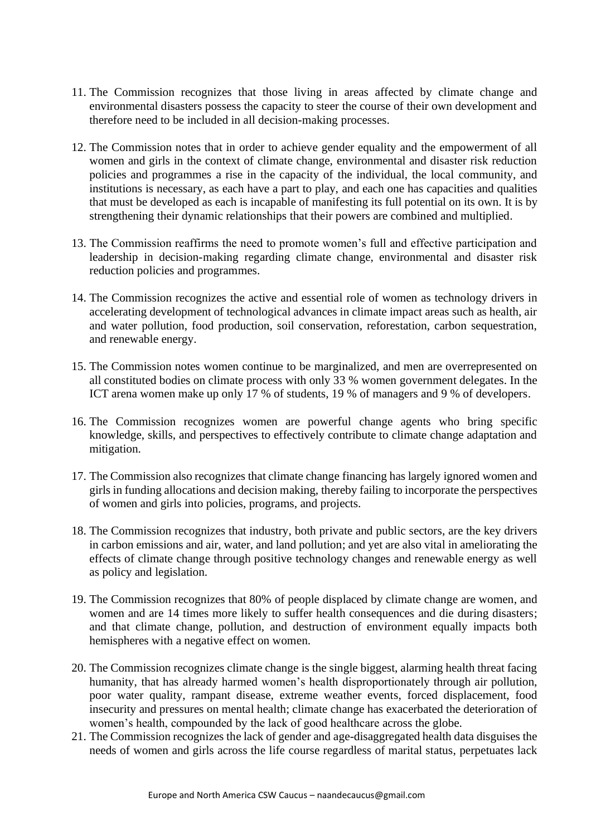- 11. The Commission recognizes that those living in areas affected by climate change and environmental disasters possess the capacity to steer the course of their own development and therefore need to be included in all decision-making processes.
- 12. The Commission notes that in order to achieve gender equality and the empowerment of all women and girls in the context of climate change, environmental and disaster risk reduction policies and programmes a rise in the capacity of the individual, the local community, and institutions is necessary, as each have a part to play, and each one has capacities and qualities that must be developed as each is incapable of manifesting its full potential on its own. It is by strengthening their dynamic relationships that their powers are combined and multiplied.
- 13. The Commission reaffirms the need to promote women's full and effective participation and leadership in decision-making regarding climate change, environmental and disaster risk reduction policies and programmes.
- 14. The Commission recognizes the active and essential role of women as technology drivers in accelerating development of technological advances in climate impact areas such as health, air and water pollution, food production, soil conservation, reforestation, carbon sequestration, and renewable energy.
- 15. The Commission notes women continue to be marginalized, and men are overrepresented on all constituted bodies on climate process with only 33 % women government delegates. In the ICT arena women make up only 17 % of students, 19 % of managers and 9 % of developers.
- 16. The Commission recognizes women are powerful change agents who bring specific knowledge, skills, and perspectives to effectively contribute to climate change adaptation and mitigation.
- 17. The Commission also recognizes that climate change financing has largely ignored women and girls in funding allocations and decision making, thereby failing to incorporate the perspectives of women and girls into policies, programs, and projects.
- 18. The Commission recognizes that industry, both private and public sectors, are the key drivers in carbon emissions and air, water, and land pollution; and yet are also vital in ameliorating the effects of climate change through positive technology changes and renewable energy as well as policy and legislation.
- 19. The Commission recognizes that 80% of people displaced by climate change are women, and women and are 14 times more likely to suffer health consequences and die during disasters; and that climate change, pollution, and destruction of environment equally impacts both hemispheres with a negative effect on women.
- 20. The Commission recognizes climate change is the single biggest, alarming health threat facing humanity, that has already harmed women's health disproportionately through air pollution, poor water quality, rampant disease, extreme weather events, forced displacement, food insecurity and pressures on mental health; climate change has exacerbated the deterioration of women's health, compounded by the lack of good healthcare across the globe.
- 21. The Commission recognizes the lack of gender and age-disaggregated health data disguises the needs of women and girls across the life course regardless of marital status, perpetuates lack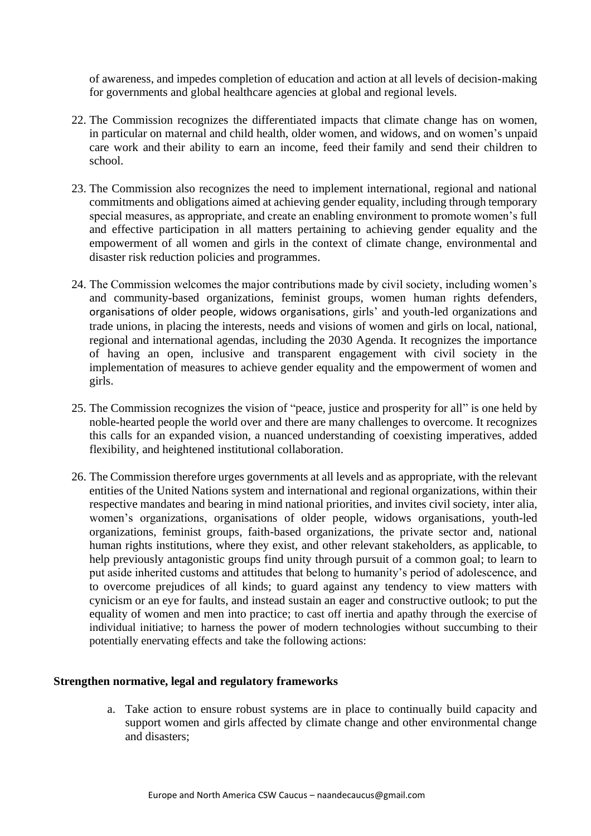of awareness, and impedes completion of education and action at all levels of decision-making for governments and global healthcare agencies at global and regional levels.

- 22. The Commission recognizes the differentiated impacts that climate change has on women, in particular on maternal and child health, older women, and widows, and on women's unpaid care work and their ability to earn an income, feed their family and send their children to school.
- 23. The Commission also recognizes the need to implement international, regional and national commitments and obligations aimed at achieving gender equality, including through temporary special measures, as appropriate, and create an enabling environment to promote women's full and effective participation in all matters pertaining to achieving gender equality and the empowerment of all women and girls in the context of climate change, environmental and disaster risk reduction policies and programmes.
- 24. The Commission welcomes the major contributions made by civil society, including women's and community-based organizations, feminist groups, women human rights defenders, organisations of older people, widows organisations, girls' and youth-led organizations and trade unions, in placing the interests, needs and visions of women and girls on local, national, regional and international agendas, including the 2030 Agenda. It recognizes the importance of having an open, inclusive and transparent engagement with civil society in the implementation of measures to achieve gender equality and the empowerment of women and girls.
- 25. The Commission recognizes the vision of "peace, justice and prosperity for all" is one held by noble-hearted people the world over and there are many challenges to overcome. It recognizes this calls for an expanded vision, a nuanced understanding of coexisting imperatives, added flexibility, and heightened institutional collaboration.
- 26. The Commission therefore urges governments at all levels and as appropriate, with the relevant entities of the United Nations system and international and regional organizations, within their respective mandates and bearing in mind national priorities, and invites civil society, inter alia, women's organizations, organisations of older people, widows organisations, youth-led organizations, feminist groups, faith-based organizations, the private sector and, national human rights institutions, where they exist, and other relevant stakeholders, as applicable, to help previously antagonistic groups find unity through pursuit of a common goal; to learn to put aside inherited customs and attitudes that belong to humanity's period of adolescence, and to overcome prejudices of all kinds; to guard against any tendency to view matters with cynicism or an eye for faults, and instead sustain an eager and constructive outlook; to put the equality of women and men into practice; to cast off inertia and apathy through the exercise of individual initiative; to harness the power of modern technologies without succumbing to their potentially enervating effects and take the following actions:

## **Strengthen normative, legal and regulatory frameworks**

a. Take action to ensure robust systems are in place to continually build capacity and support women and girls affected by climate change and other environmental change and disasters;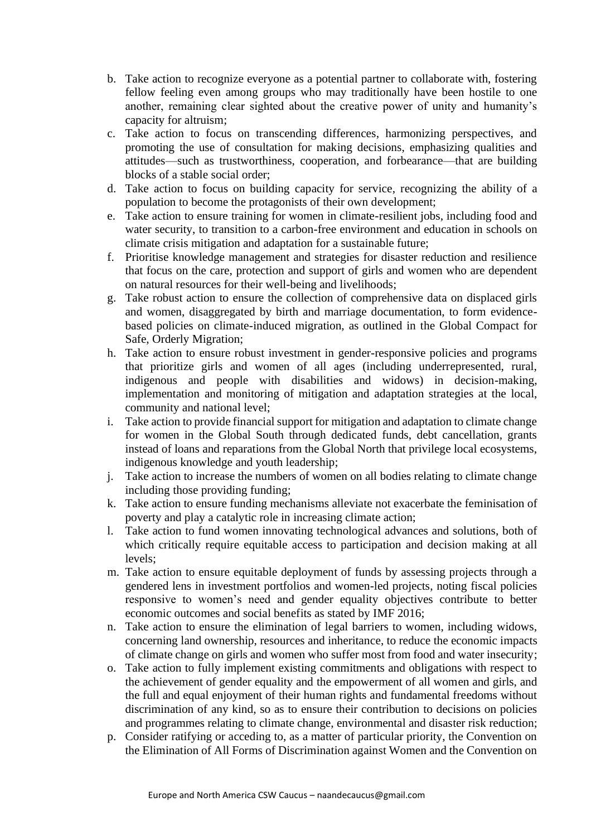- b. Take action to recognize everyone as a potential partner to collaborate with, fostering fellow feeling even among groups who may traditionally have been hostile to one another, remaining clear sighted about the creative power of unity and humanity's capacity for altruism;
- c. Take action to focus on transcending differences, harmonizing perspectives, and promoting the use of consultation for making decisions, emphasizing qualities and attitudes—such as trustworthiness, cooperation, and forbearance—that are building blocks of a stable social order;
- d. Take action to focus on building capacity for service, recognizing the ability of a population to become the protagonists of their own development;
- e. Take action to ensure training for women in climate-resilient jobs, including food and water security, to transition to a carbon-free environment and education in schools on climate crisis mitigation and adaptation for a sustainable future;
- f. Prioritise knowledge management and strategies for disaster reduction and resilience that focus on the care, protection and support of girls and women who are dependent on natural resources for their well-being and livelihoods;
- g. Take robust action to ensure the collection of comprehensive data on displaced girls and women, disaggregated by birth and marriage documentation, to form evidencebased policies on climate-induced migration, as outlined in the Global Compact for Safe, Orderly Migration;
- h. Take action to ensure robust investment in gender-responsive policies and programs that prioritize girls and women of all ages (including underrepresented, rural, indigenous and people with disabilities and widows) in decision-making, implementation and monitoring of mitigation and adaptation strategies at the local, community and national level;
- i. Take action to provide financial support for mitigation and adaptation to climate change for women in the Global South through dedicated funds, debt cancellation, grants instead of loans and reparations from the Global North that privilege local ecosystems, indigenous knowledge and youth leadership;
- j. Take action to increase the numbers of women on all bodies relating to climate change including those providing funding;
- k. Take action to ensure funding mechanisms alleviate not exacerbate the feminisation of poverty and play a catalytic role in increasing climate action;
- l. Take action to fund women innovating technological advances and solutions, both of which critically require equitable access to participation and decision making at all levels;
- m. Take action to ensure equitable deployment of funds by assessing projects through a gendered lens in investment portfolios and women-led projects, noting fiscal policies responsive to women's need and gender equality objectives contribute to better economic outcomes and social benefits as stated by IMF 2016;
- n. Take action to ensure the elimination of legal barriers to women, including widows, concerning land ownership, resources and inheritance, to reduce the economic impacts of climate change on girls and women who suffer most from food and water insecurity;
- o. Take action to fully implement existing commitments and obligations with respect to the achievement of gender equality and the empowerment of all women and girls, and the full and equal enjoyment of their human rights and fundamental freedoms without discrimination of any kind, so as to ensure their contribution to decisions on policies and programmes relating to climate change, environmental and disaster risk reduction;
- p. Consider ratifying or acceding to, as a matter of particular priority, the Convention on the Elimination of All Forms of Discrimination against Women and the Convention on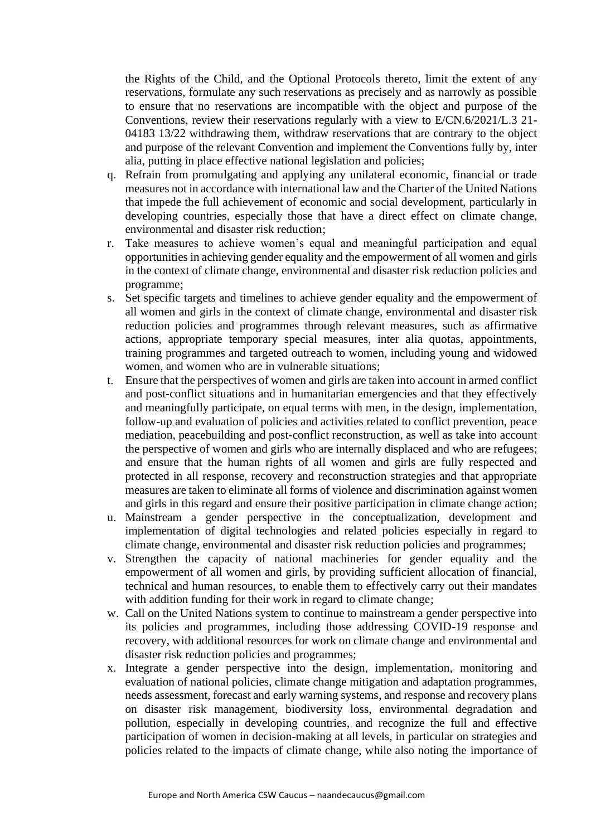the Rights of the Child, and the Optional Protocols thereto, limit the extent of any reservations, formulate any such reservations as precisely and as narrowly as possible to ensure that no reservations are incompatible with the object and purpose of the Conventions, review their reservations regularly with a view to E/CN.6/2021/L.3 21- 04183 13/22 withdrawing them, withdraw reservations that are contrary to the object and purpose of the relevant Convention and implement the Conventions fully by, inter alia, putting in place effective national legislation and policies;

- q. Refrain from promulgating and applying any unilateral economic, financial or trade measures not in accordance with international law and the Charter of the United Nations that impede the full achievement of economic and social development, particularly in developing countries, especially those that have a direct effect on climate change, environmental and disaster risk reduction;
- r. Take measures to achieve women's equal and meaningful participation and equal opportunities in achieving gender equality and the empowerment of all women and girls in the context of climate change, environmental and disaster risk reduction policies and programme;
- s. Set specific targets and timelines to achieve gender equality and the empowerment of all women and girls in the context of climate change, environmental and disaster risk reduction policies and programmes through relevant measures, such as affirmative actions, appropriate temporary special measures, inter alia quotas, appointments, training programmes and targeted outreach to women, including young and widowed women, and women who are in vulnerable situations;
- t. Ensure that the perspectives of women and girls are taken into account in armed conflict and post-conflict situations and in humanitarian emergencies and that they effectively and meaningfully participate, on equal terms with men, in the design, implementation, follow-up and evaluation of policies and activities related to conflict prevention, peace mediation, peacebuilding and post-conflict reconstruction, as well as take into account the perspective of women and girls who are internally displaced and who are refugees; and ensure that the human rights of all women and girls are fully respected and protected in all response, recovery and reconstruction strategies and that appropriate measures are taken to eliminate all forms of violence and discrimination against women and girls in this regard and ensure their positive participation in climate change action;
- u. Mainstream a gender perspective in the conceptualization, development and implementation of digital technologies and related policies especially in regard to climate change, environmental and disaster risk reduction policies and programmes;
- v. Strengthen the capacity of national machineries for gender equality and the empowerment of all women and girls, by providing sufficient allocation of financial, technical and human resources, to enable them to effectively carry out their mandates with addition funding for their work in regard to climate change;
- w. Call on the United Nations system to continue to mainstream a gender perspective into its policies and programmes, including those addressing COVID-19 response and recovery, with additional resources for work on climate change and environmental and disaster risk reduction policies and programmes;
- x. Integrate a gender perspective into the design, implementation, monitoring and evaluation of national policies, climate change mitigation and adaptation programmes, needs assessment, forecast and early warning systems, and response and recovery plans on disaster risk management, biodiversity loss, environmental degradation and pollution, especially in developing countries, and recognize the full and effective participation of women in decision-making at all levels, in particular on strategies and policies related to the impacts of climate change, while also noting the importance of